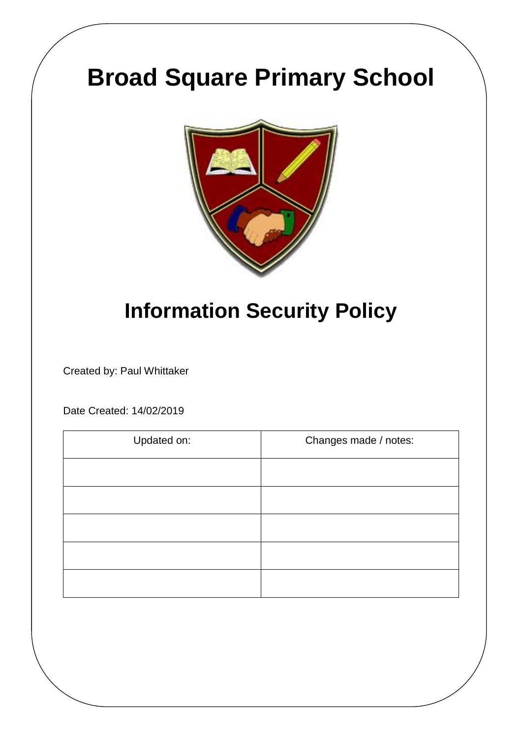# **Broad Square Primary School**



# **Information Security Policy**

Created by: Paul Whittaker

Date Created: 14/02/2019

| Updated on: | Changes made / notes: |
|-------------|-----------------------|
|             |                       |
|             |                       |
|             |                       |
|             |                       |
|             |                       |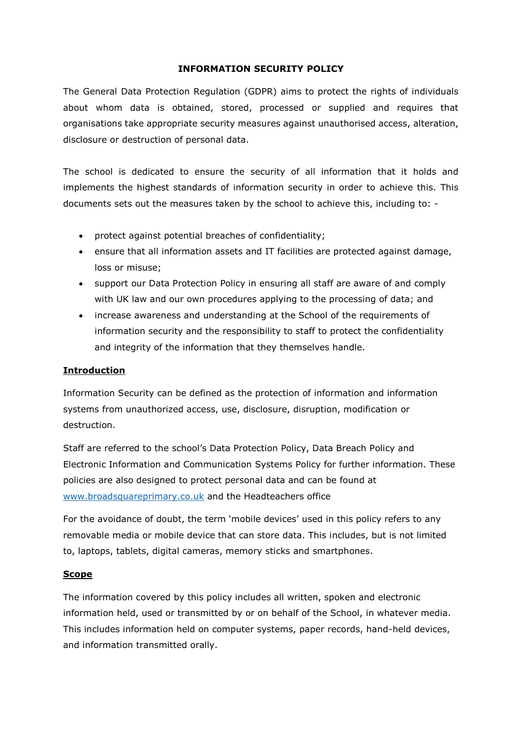#### **INFORMATION SECURITY POLICY**

The General Data Protection Regulation (GDPR) aims to protect the rights of individuals about whom data is obtained, stored, processed or supplied and requires that organisations take appropriate security measures against unauthorised access, alteration, disclosure or destruction of personal data.

The school is dedicated to ensure the security of all information that it holds and implements the highest standards of information security in order to achieve this. This documents sets out the measures taken by the school to achieve this, including to: -

- protect against potential breaches of confidentiality;
- ensure that all information assets and IT facilities are protected against damage, loss or misuse;
- support our Data Protection Policy in ensuring all staff are aware of and comply with UK law and our own procedures applying to the processing of data; and
- increase awareness and understanding at the School of the requirements of information security and the responsibility to staff to protect the confidentiality and integrity of the information that they themselves handle.

#### **Introduction**

Information Security can be defined as the protection of information and information systems from unauthorized access, use, disclosure, disruption, modification or destruction.

Staff are referred to the school's Data Protection Policy, Data Breach Policy and Electronic Information and Communication Systems Policy for further information. These policies are also designed to protect personal data and can be found at [www.broadsquareprimary.co.uk](http://www.broadsquareprimary.co.uk/) and the Headteachers office

For the avoidance of doubt, the term 'mobile devices' used in this policy refers to any removable media or mobile device that can store data. This includes, but is not limited to, laptops, tablets, digital cameras, memory sticks and smartphones.

#### **Scope**

The information covered by this policy includes all written, spoken and electronic information held, used or transmitted by or on behalf of the School, in whatever media. This includes information held on computer systems, paper records, hand-held devices, and information transmitted orally.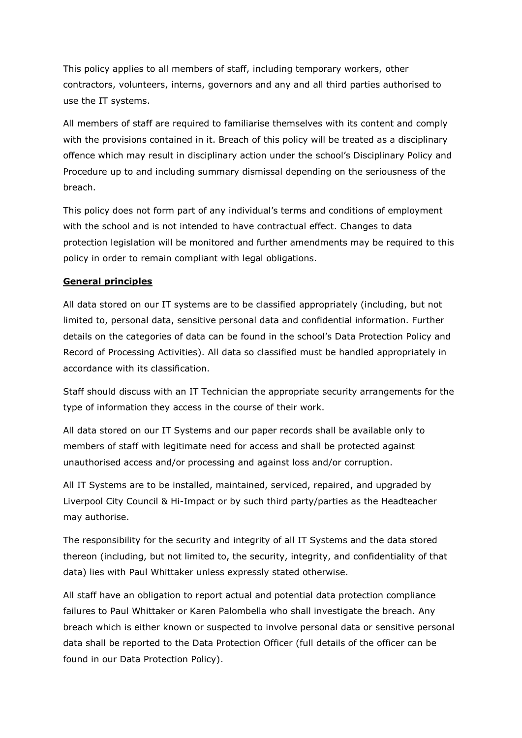This policy applies to all members of staff, including temporary workers, other contractors, volunteers, interns, governors and any and all third parties authorised to use the IT systems.

All members of staff are required to familiarise themselves with its content and comply with the provisions contained in it. Breach of this policy will be treated as a disciplinary offence which may result in disciplinary action under the school's Disciplinary Policy and Procedure up to and including summary dismissal depending on the seriousness of the breach.

This policy does not form part of any individual's terms and conditions of employment with the school and is not intended to have contractual effect. Changes to data protection legislation will be monitored and further amendments may be required to this policy in order to remain compliant with legal obligations.

## **General principles**

All data stored on our IT systems are to be classified appropriately (including, but not limited to, personal data, sensitive personal data and confidential information. Further details on the categories of data can be found in the school's Data Protection Policy and Record of Processing Activities). All data so classified must be handled appropriately in accordance with its classification.

Staff should discuss with an IT Technician the appropriate security arrangements for the type of information they access in the course of their work.

All data stored on our IT Systems and our paper records shall be available only to members of staff with legitimate need for access and shall be protected against unauthorised access and/or processing and against loss and/or corruption.

All IT Systems are to be installed, maintained, serviced, repaired, and upgraded by Liverpool City Council & Hi-Impact or by such third party/parties as the Headteacher may authorise.

The responsibility for the security and integrity of all IT Systems and the data stored thereon (including, but not limited to, the security, integrity, and confidentiality of that data) lies with Paul Whittaker unless expressly stated otherwise.

All staff have an obligation to report actual and potential data protection compliance failures to Paul Whittaker or Karen Palombella who shall investigate the breach. Any breach which is either known or suspected to involve personal data or sensitive personal data shall be reported to the Data Protection Officer (full details of the officer can be found in our Data Protection Policy).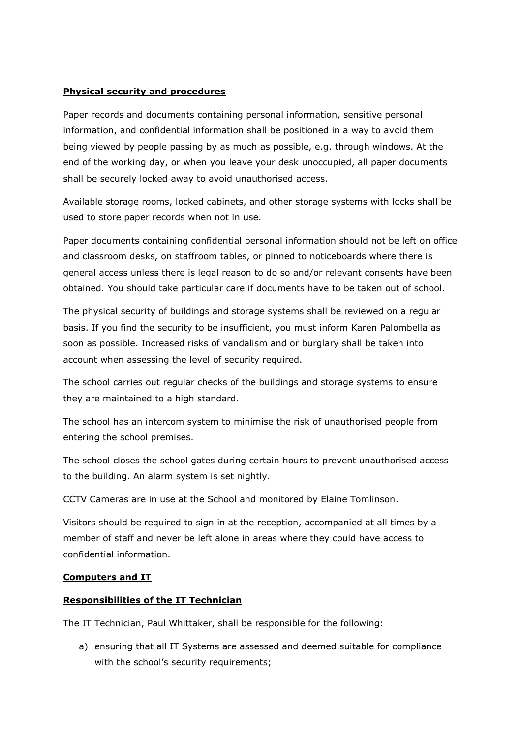#### **Physical security and procedures**

Paper records and documents containing personal information, sensitive personal information, and confidential information shall be positioned in a way to avoid them being viewed by people passing by as much as possible, e.g. through windows. At the end of the working day, or when you leave your desk unoccupied, all paper documents shall be securely locked away to avoid unauthorised access.

Available storage rooms, locked cabinets, and other storage systems with locks shall be used to store paper records when not in use.

Paper documents containing confidential personal information should not be left on office and classroom desks, on staffroom tables, or pinned to noticeboards where there is general access unless there is legal reason to do so and/or relevant consents have been obtained. You should take particular care if documents have to be taken out of school.

The physical security of buildings and storage systems shall be reviewed on a regular basis. If you find the security to be insufficient, you must inform Karen Palombella as soon as possible. Increased risks of vandalism and or burglary shall be taken into account when assessing the level of security required.

The school carries out regular checks of the buildings and storage systems to ensure they are maintained to a high standard.

The school has an intercom system to minimise the risk of unauthorised people from entering the school premises.

The school closes the school gates during certain hours to prevent unauthorised access to the building. An alarm system is set nightly.

CCTV Cameras are in use at the School and monitored by Elaine Tomlinson.

Visitors should be required to sign in at the reception, accompanied at all times by a member of staff and never be left alone in areas where they could have access to confidential information.

#### **Computers and IT**

#### **Responsibilities of the IT Technician**

The IT Technician, Paul Whittaker, shall be responsible for the following:

a) ensuring that all IT Systems are assessed and deemed suitable for compliance with the school's security requirements;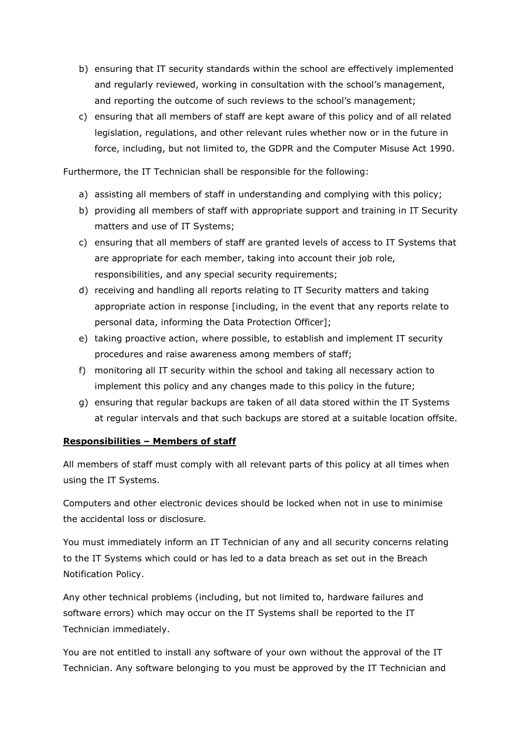- b) ensuring that IT security standards within the school are effectively implemented and regularly reviewed, working in consultation with the school's management, and reporting the outcome of such reviews to the school's management;
- c) ensuring that all members of staff are kept aware of this policy and of all related legislation, regulations, and other relevant rules whether now or in the future in force, including, but not limited to, the GDPR and the Computer Misuse Act 1990.

Furthermore, the IT Technician shall be responsible for the following:

- a) assisting all members of staff in understanding and complying with this policy;
- b) providing all members of staff with appropriate support and training in IT Security matters and use of IT Systems;
- c) ensuring that all members of staff are granted levels of access to IT Systems that are appropriate for each member, taking into account their job role, responsibilities, and any special security requirements;
- d) receiving and handling all reports relating to IT Security matters and taking appropriate action in response [including, in the event that any reports relate to personal data, informing the Data Protection Officer];
- e) taking proactive action, where possible, to establish and implement IT security procedures and raise awareness among members of staff;
- f) monitoring all IT security within the school and taking all necessary action to implement this policy and any changes made to this policy in the future;
- g) ensuring that regular backups are taken of all data stored within the IT Systems at regular intervals and that such backups are stored at a suitable location offsite.

# **Responsibilities – Members of staff**

All members of staff must comply with all relevant parts of this policy at all times when using the IT Systems.

Computers and other electronic devices should be locked when not in use to minimise the accidental loss or disclosure.

You must immediately inform an IT Technician of any and all security concerns relating to the IT Systems which could or has led to a data breach as set out in the Breach Notification Policy.

Any other technical problems (including, but not limited to, hardware failures and software errors) which may occur on the IT Systems shall be reported to the IT Technician immediately.

You are not entitled to install any software of your own without the approval of the IT Technician. Any software belonging to you must be approved by the IT Technician and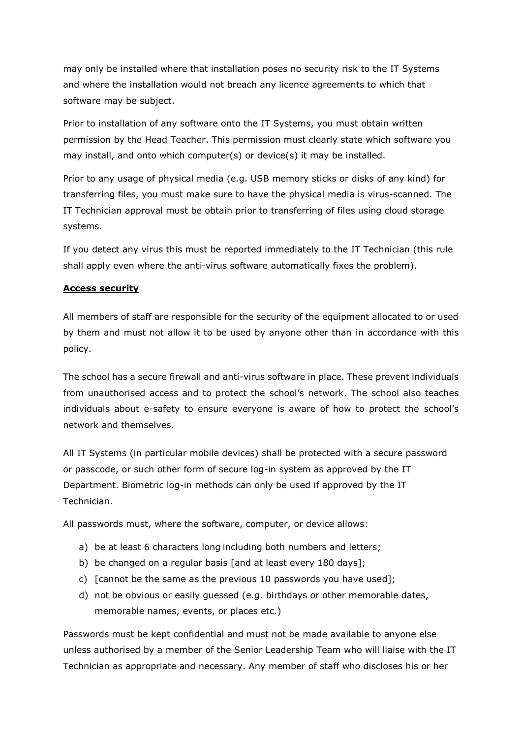may only be installed where that installation poses no security risk to the IT Systems and where the installation would not breach any licence agreements to which that software may be subject.

Prior to installation of any software onto the IT Systems, you must obtain written permission by the Head Teacher. This permission must clearly state which software you may install, and onto which computer(s) or device(s) it may be installed.

Prior to any usage of physical media (e.g. USB memory sticks or disks of any kind) for transferring files, you must make sure to have the physical media is virus-scanned. The IT Technician approval must be obtain prior to transferring of files using cloud storage systems.

If you detect any virus this must be reported immediately to the IT Technician (this rule shall apply even where the anti-virus software automatically fixes the problem).

## **Access security**

All members of staff are responsible for the security of the equipment allocated to or used by them and must not allow it to be used by anyone other than in accordance with this policy.

The school has a secure firewall and anti-virus software in place. These prevent individuals from unauthorised access and to protect the school's network. The school also teaches individuals about e-safety to ensure everyone is aware of how to protect the school's network and themselves.

All IT Systems (in particular mobile devices) shall be protected with a secure password or passcode, or such other form of secure log-in system as approved by the IT Department. Biometric log-in methods can only be used if approved by the IT Technician.

All passwords must, where the software, computer, or device allows:

- a) be at least 6 characters long including both numbers and letters;
- b) be changed on a regular basis [and at least every 180 days];
- c) [cannot be the same as the previous 10 passwords you have used];
- d) not be obvious or easily guessed (e.g. birthdays or other memorable dates, memorable names, events, or places etc.)

Passwords must be kept confidential and must not be made available to anyone else unless authorised by a member of the Senior Leadership Team who will liaise with the IT Technician as appropriate and necessary. Any member of staff who discloses his or her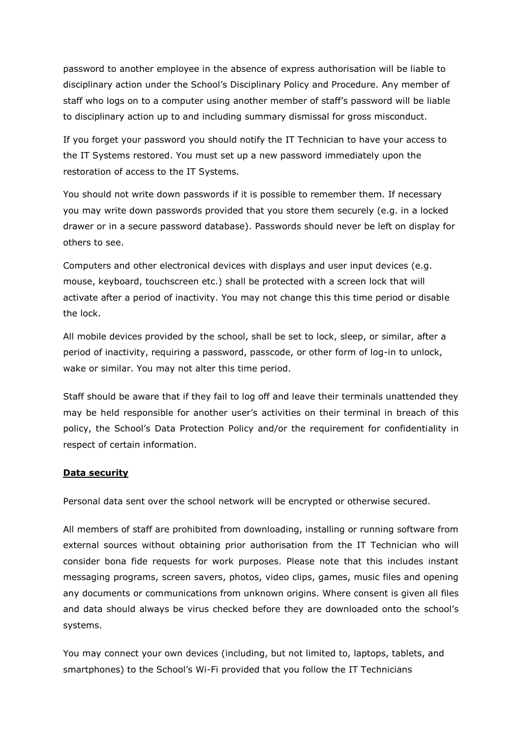password to another employee in the absence of express authorisation will be liable to disciplinary action under the School's Disciplinary Policy and Procedure. Any member of staff who logs on to a computer using another member of staff's password will be liable to disciplinary action up to and including summary dismissal for gross misconduct.

If you forget your password you should notify the IT Technician to have your access to the IT Systems restored. You must set up a new password immediately upon the restoration of access to the IT Systems.

You should not write down passwords if it is possible to remember them. If necessary you may write down passwords provided that you store them securely (e.g. in a locked drawer or in a secure password database). Passwords should never be left on display for others to see.

Computers and other electronical devices with displays and user input devices (e.g. mouse, keyboard, touchscreen etc.) shall be protected with a screen lock that will activate after a period of inactivity. You may not change this this time period or disable the lock.

All mobile devices provided by the school, shall be set to lock, sleep, or similar, after a period of inactivity, requiring a password, passcode, or other form of log-in to unlock, wake or similar. You may not alter this time period.

Staff should be aware that if they fail to log off and leave their terminals unattended they may be held responsible for another user's activities on their terminal in breach of this policy, the School's Data Protection Policy and/or the requirement for confidentiality in respect of certain information.

#### **Data security**

Personal data sent over the school network will be encrypted or otherwise secured.

All members of staff are prohibited from downloading, installing or running software from external sources without obtaining prior authorisation from the IT Technician who will consider bona fide requests for work purposes. Please note that this includes instant messaging programs, screen savers, photos, video clips, games, music files and opening any documents or communications from unknown origins. Where consent is given all files and data should always be virus checked before they are downloaded onto the school's systems.

You may connect your own devices (including, but not limited to, laptops, tablets, and smartphones) to the School's Wi-Fi provided that you follow the IT Technicians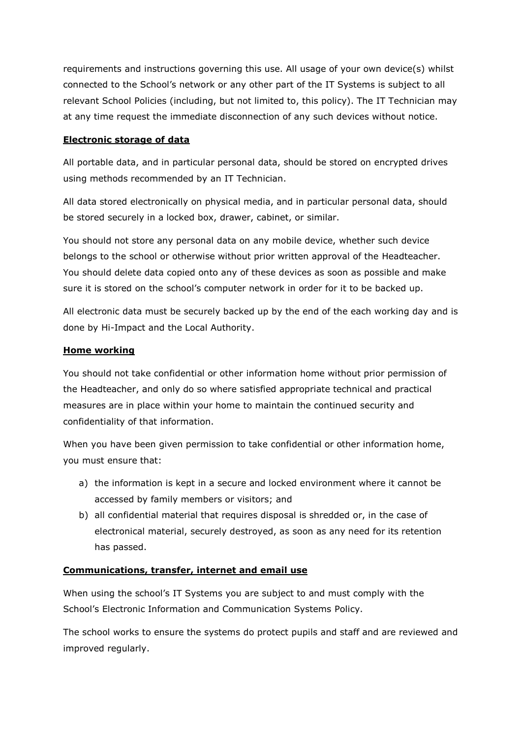requirements and instructions governing this use. All usage of your own device(s) whilst connected to the School's network or any other part of the IT Systems is subject to all relevant School Policies (including, but not limited to, this policy). The IT Technician may at any time request the immediate disconnection of any such devices without notice.

#### **Electronic storage of data**

All portable data, and in particular personal data, should be stored on encrypted drives using methods recommended by an IT Technician.

All data stored electronically on physical media, and in particular personal data, should be stored securely in a locked box, drawer, cabinet, or similar.

You should not store any personal data on any mobile device, whether such device belongs to the school or otherwise without prior written approval of the Headteacher. You should delete data copied onto any of these devices as soon as possible and make sure it is stored on the school's computer network in order for it to be backed up.

All electronic data must be securely backed up by the end of the each working day and is done by Hi-Impact and the Local Authority.

## **Home working**

You should not take confidential or other information home without prior permission of the Headteacher, and only do so where satisfied appropriate technical and practical measures are in place within your home to maintain the continued security and confidentiality of that information.

When you have been given permission to take confidential or other information home, you must ensure that:

- a) the information is kept in a secure and locked environment where it cannot be accessed by family members or visitors; and
- b) all confidential material that requires disposal is shredded or, in the case of electronical material, securely destroyed, as soon as any need for its retention has passed.

# **Communications, transfer, internet and email use**

When using the school's IT Systems you are subject to and must comply with the School's Electronic Information and Communication Systems Policy.

The school works to ensure the systems do protect pupils and staff and are reviewed and improved regularly.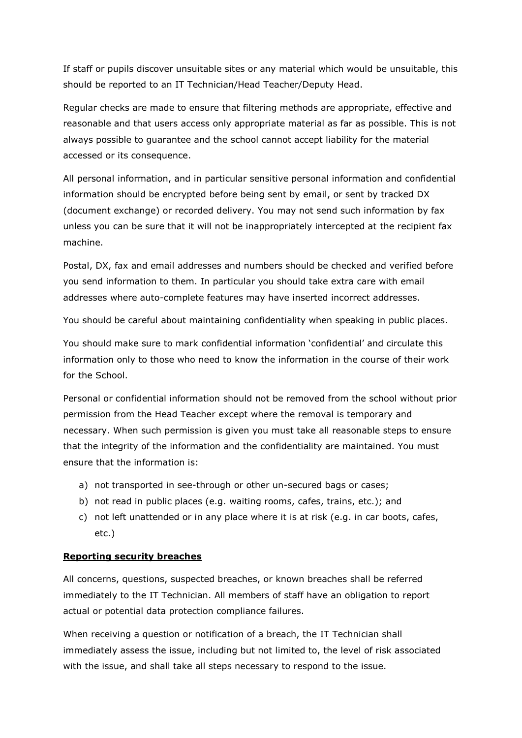If staff or pupils discover unsuitable sites or any material which would be unsuitable, this should be reported to an IT Technician/Head Teacher/Deputy Head.

Regular checks are made to ensure that filtering methods are appropriate, effective and reasonable and that users access only appropriate material as far as possible. This is not always possible to guarantee and the school cannot accept liability for the material accessed or its consequence.

All personal information, and in particular sensitive personal information and confidential information should be encrypted before being sent by email, or sent by tracked DX (document exchange) or recorded delivery. You may not send such information by fax unless you can be sure that it will not be inappropriately intercepted at the recipient fax machine.

Postal, DX, fax and email addresses and numbers should be checked and verified before you send information to them. In particular you should take extra care with email addresses where auto-complete features may have inserted incorrect addresses.

You should be careful about maintaining confidentiality when speaking in public places.

You should make sure to mark confidential information 'confidential' and circulate this information only to those who need to know the information in the course of their work for the School.

Personal or confidential information should not be removed from the school without prior permission from the Head Teacher except where the removal is temporary and necessary. When such permission is given you must take all reasonable steps to ensure that the integrity of the information and the confidentiality are maintained. You must ensure that the information is:

- a) not transported in see-through or other un-secured bags or cases;
- b) not read in public places (e.g. waiting rooms, cafes, trains, etc.); and
- c) not left unattended or in any place where it is at risk (e.g. in car boots, cafes, etc.)

#### **Reporting security breaches**

All concerns, questions, suspected breaches, or known breaches shall be referred immediately to the IT Technician. All members of staff have an obligation to report actual or potential data protection compliance failures.

When receiving a question or notification of a breach, the IT Technician shall immediately assess the issue, including but not limited to, the level of risk associated with the issue, and shall take all steps necessary to respond to the issue.